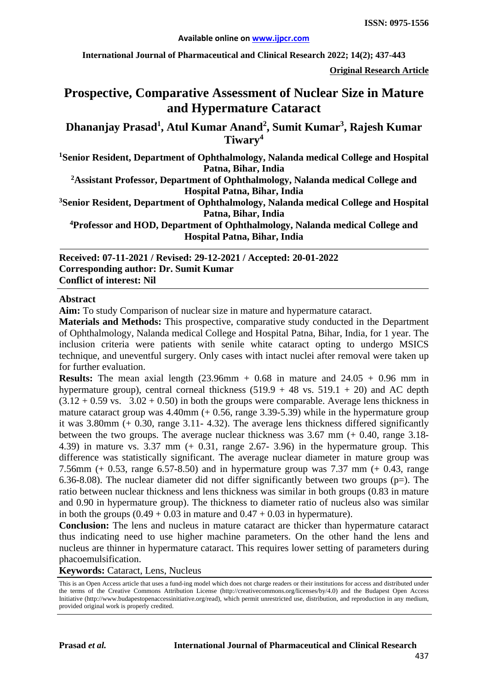**International Journal of Pharmaceutical and Clinical Research 2022; 14(2); 437-443**

**Original Research Article**

# **Prospective, Comparative Assessment of Nuclear Size in Mature and Hypermature Cataract**

**Dhananjay Prasad<sup>1</sup> , Atul Kumar Anand<sup>2</sup> , Sumit Kumar3 , Rajesh Kumar Tiwary<sup>4</sup>**

**1 Senior Resident, Department of Ophthalmology, Nalanda medical College and Hospital Patna, Bihar, India**

**2 Assistant Professor, Department of Ophthalmology, Nalanda medical College and Hospital Patna, Bihar, India**

**3 Senior Resident, Department of Ophthalmology, Nalanda medical College and Hospital Patna, Bihar, India**

**4Professor and HOD, Department of Ophthalmology, Nalanda medical College and Hospital Patna, Bihar, India**

**Received: 07-11-2021 / Revised: 29-12-2021 / Accepted: 20-01-2022 Corresponding author: Dr. Sumit Kumar Conflict of interest: Nil**

#### **Abstract**

**Aim:** To study Comparison of nuclear size in mature and hypermature cataract.

**Materials and Methods:** This prospective, comparative study conducted in the Department of Ophthalmology, Nalanda medical College and Hospital Patna, Bihar, India, for 1 year. The inclusion criteria were patients with senile white cataract opting to undergo MSICS technique, and uneventful surgery. Only cases with intact nuclei after removal were taken up for further evaluation.

**Results:** The mean axial length  $(23.96 \text{mm} + 0.68 \text{ in mature and } 24.05 + 0.96 \text{ mm in}$ hypermature group), central corneal thickness  $(519.9 + 48 \text{ vs. } 519.1 + 20)$  and AC depth  $(3.12 + 0.59 \text{ vs. } 3.02 + 0.50)$  in both the groups were comparable. Average lens thickness in mature cataract group was  $4.40$ mm  $(+ 0.56,$  range  $3.39$ -5.39) while in the hypermature group it was 3.80mm (+ 0.30, range 3.11- 4.32). The average lens thickness differed significantly between the two groups. The average nuclear thickness was 3.67 mm (+ 0.40, range 3.18- 4.39) in mature vs. 3.37 mm (+ 0.31, range 2.67- 3.96) in the hypermature group. This difference was statistically significant. The average nuclear diameter in mature group was 7.56mm (+ 0.53, range 6.57-8.50) and in hypermature group was 7.37 mm (+ 0.43, range 6.36-8.08). The nuclear diameter did not differ significantly between two groups ( $p=$ ). The ratio between nuclear thickness and lens thickness was similar in both groups (0.83 in mature and 0.90 in hypermature group). The thickness to diameter ratio of nucleus also was similar in both the groups  $(0.49 + 0.03$  in mature and  $0.47 + 0.03$  in hypermature).

**Conclusion:** The lens and nucleus in mature cataract are thicker than hypermature cataract thus indicating need to use higher machine parameters. On the other hand the lens and nucleus are thinner in hypermature cataract. This requires lower setting of parameters during phacoemulsification.

**Keywords:** Cataract, Lens, Nucleus

This is an Open Access article that uses a fund-ing model which does not charge readers or their institutions for access and distributed under the terms of the Creative Commons Attribution License (http://creativecommons.org/licenses/by/4.0) and the Budapest Open Access Initiative (http://www.budapestopenaccessinitiative.org/read), which permit unrestricted use, distribution, and reproduction in any medium, provided original work is properly credited.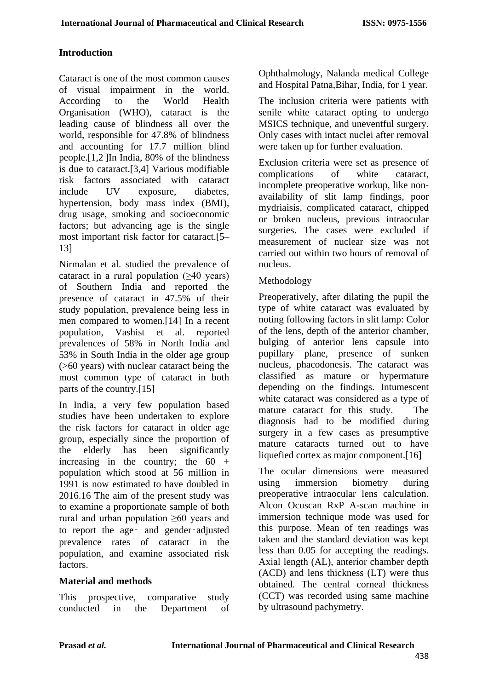# **Introduction**

Cataract is one of the most common causes of visual impairment in the world. According to the World Health Organisation (WHO), cataract is the leading cause of blindness all over the world, responsible for 47.8% of blindness and accounting for 17.7 million blind people.[1,2 ]In India, 80% of the blindness is due to cataract.[3,4] Various modifiable risk factors associated with cataract include UV exposure, diabetes, hypertension, body mass index (BMI), drug usage, smoking and socioeconomic factors; but advancing age is the single most important risk factor for cataract.[5– 13]

Nirmalan et al. studied the prevalence of cataract in a rural population (≥40 years) of Southern India and reported the presence of cataract in 47.5% of their study population, prevalence being less in men compared to women.[14] In a recent population, Vashist et al. reported prevalences of 58% in North India and 53% in South India in the older age group (>60 years) with nuclear cataract being the most common type of cataract in both parts of the country.[15]

In India, a very few population based studies have been undertaken to explore the risk factors for cataract in older age group, especially since the proportion of the elderly has been significantly increasing in the country; the  $60 +$ population which stood at 56 million in 1991 is now estimated to have doubled in 2016.16 The aim of the present study was to examine a proportionate sample of both rural and urban population ≥60 years and to report the age‑ and gender‑adjusted prevalence rates of cataract in the population, and examine associated risk factors.

# **Material and methods**

This prospective, comparative study conducted in the Department of Ophthalmology, Nalanda medical College and Hospital Patna,Bihar, India, for 1 year.

The inclusion criteria were patients with senile white cataract opting to undergo MSICS technique, and uneventful surgery. Only cases with intact nuclei after removal were taken up for further evaluation.

Exclusion criteria were set as presence of complications of white cataract, incomplete preoperative workup, like nonavailability of slit lamp findings, poor mydriaisis, complicated cataract, chipped or broken nucleus, previous intraocular surgeries. The cases were excluded if measurement of nuclear size was not carried out within two hours of removal of nucleus.

#### Methodology

Preoperatively, after dilating the pupil the type of white cataract was evaluated by noting following factors in slit lamp: Color of the lens, depth of the anterior chamber, bulging of anterior lens capsule into pupillary plane, presence of sunken nucleus, phacodonesis. The cataract was classified as mature or hypermature depending on the findings. Intumescent white cataract was considered as a type of mature cataract for this study. The diagnosis had to be modified during surgery in a few cases as presumptive mature cataracts turned out to have liquefied cortex as major component.[16]

The ocular dimensions were measured using immersion biometry during preoperative intraocular lens calculation. Alcon Ocuscan RxP A-scan machine in immersion technique mode was used for this purpose. Mean of ten readings was taken and the standard deviation was kept less than 0.05 for accepting the readings. Axial length (AL), anterior chamber depth (ACD) and lens thickness (LT) were thus obtained. The central corneal thickness (CCT) was recorded using same machine by ultrasound pachymetry.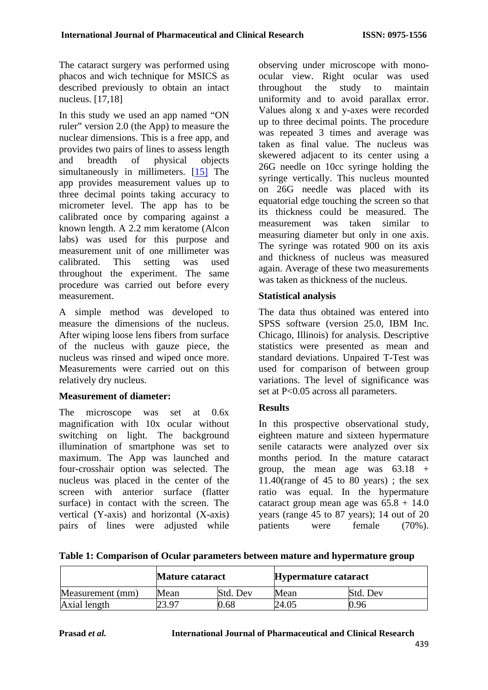The cataract surgery was performed using phacos and wich technique for MSICS as described previously to obtain an intact nucleus. [17,18]

In this study we used an app named "ON ruler" version 2.0 (the App) to measure the nuclear dimensions. This is a free app, and provides two pairs of lines to assess length and breadth of physical objects simultaneously in millimeters. [15] The app provides measurement values up to three decimal points taking accuracy to micrometer level. The app has to be calibrated once by comparing against a known length. A 2.2 mm keratome (Alcon labs) was used for this purpose and measurement unit of one millimeter was calibrated. This setting was used throughout the experiment. The same procedure was carried out before every measurement.

A simple method was developed to measure the dimensions of the nucleus. After wiping loose lens fibers from surface of the nucleus with gauze piece, the nucleus was rinsed and wiped once more. Measurements were carried out on this relatively dry nucleus.

# **Measurement of diameter:**

The microscope was set at 0.6x magnification with 10x ocular without switching on light. The background illumination of smartphone was set to maximum. The App was launched and four-crosshair option was selected. The nucleus was placed in the center of the screen with anterior surface (flatter surface) in contact with the screen. The vertical (Y-axis) and horizontal (X-axis) pairs of lines were adjusted while observing under microscope with monoocular view. Right ocular was used throughout the study to maintain uniformity and to avoid parallax error. Values along x and y-axes were recorded up to three decimal points. The procedure was repeated 3 times and average was taken as final value. The nucleus was skewered adjacent to its center using a 26G needle on 10cc syringe holding the syringe vertically. This nucleus mounted on 26G needle was placed with its equatorial edge touching the screen so that its thickness could be measured. The measurement was taken similar to measuring diameter but only in one axis. The syringe was rotated 900 on its axis and thickness of nucleus was measured again. Average of these two measurements was taken as thickness of the nucleus.

#### **Statistical analysis**

The data thus obtained was entered into SPSS software (version 25.0, IBM Inc. Chicago, Illinois) for analysis. Descriptive statistics were presented as mean and standard deviations. Unpaired T-Test was used for comparison of between group variations. The level of significance was set at P<0.05 across all parameters.

# **Results**

In this prospective observational study, eighteen mature and sixteen hypermature senile cataracts were analyzed over six months period. In the mature cataract group, the mean age was  $63.18 +$ 11.40(range of 45 to 80 years); the sex ratio was equal. In the hypermature cataract group mean age was  $65.8 + 14.0$ years (range 45 to 87 years); 14 out of 20 patients were female (70%).

|  |  | Table 1: Comparison of Ocular parameters between mature and hypermature group |
|--|--|-------------------------------------------------------------------------------|
|--|--|-------------------------------------------------------------------------------|

|                  | <b>Mature cataract</b> |          | <b>Hypermature cataract</b> |          |
|------------------|------------------------|----------|-----------------------------|----------|
| Measurement (mm) | Mean                   | Std. Dev | Mean                        | Std. Dev |
| Axial length     | 23.97                  | .68      | 24.05                       | 0.96     |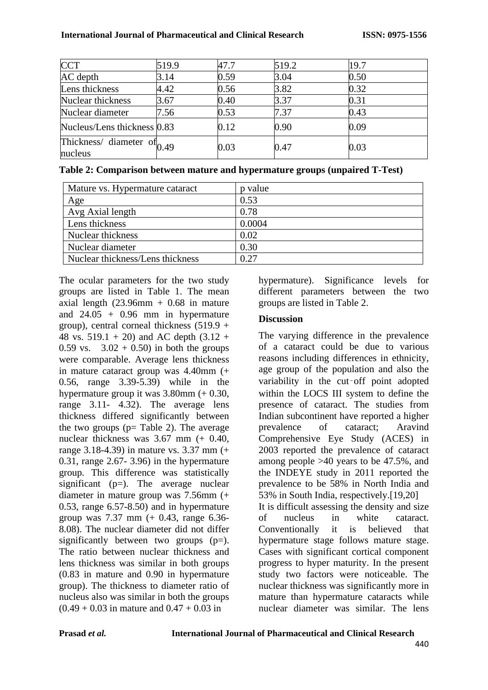| <b>CCT</b>                               | 519.9 | 47.7 | 519.2 | 19.7 |
|------------------------------------------|-------|------|-------|------|
| AC depth                                 | 3.14  | 0.59 | 3.04  | 0.50 |
| Lens thickness                           | 4.42  | 0.56 | 3.82  | 0.32 |
| Nuclear thickness                        | 3.67  | 0.40 | 3.37  | 0.31 |
| Nuclear diameter                         | 7.56  | 0.53 | 7.37  | 0.43 |
| Nucleus/Lens thickness 0.83              |       | 0.12 | 0.90  | 0.09 |
| Thickness/ diameter of $0.49$<br>nucleus |       | 0.03 | 0.47  | 0.03 |

**Table 2: Comparison between mature and hypermature groups (unpaired T-Test)**

| Mature vs. Hypermature cataract  | p value |
|----------------------------------|---------|
| Age                              | 0.53    |
| Avg Axial length                 | 0.78    |
| Lens thickness                   | 0.0004  |
| Nuclear thickness                | 0.02    |
| Nuclear diameter                 | 0.30    |
| Nuclear thickness/Lens thickness | 0.27    |

The ocular parameters for the two study groups are listed in Table 1. The mean axial length  $(23.96mm + 0.68$  in mature and  $24.05 + 0.96$  mm in hypermature group), central corneal thickness  $(519.9 +$ 48 vs. 519.1 + 20) and AC depth  $(3.12 +$ 0.59 vs.  $3.02 + 0.50$  in both the groups were comparable. Average lens thickness in mature cataract group was 4.40mm (+ 0.56, range 3.39-5.39) while in the hypermature group it was 3.80mm (+ 0.30, range 3.11- 4.32). The average lens thickness differed significantly between the two groups ( $p=$  Table 2). The average nuclear thickness was 3.67 mm (+ 0.40, range 3.18-4.39) in mature vs. 3.37 mm (+ 0.31, range 2.67- 3.96) in the hypermature group. This difference was statistically significant ( $p=$ ). The average nuclear diameter in mature group was 7.56mm (+ 0.53, range 6.57-8.50) and in hypermature group was 7.37 mm (+ 0.43, range 6.36- 8.08). The nuclear diameter did not differ significantly between two groups  $(p=)$ . The ratio between nuclear thickness and lens thickness was similar in both groups (0.83 in mature and 0.90 in hypermature group). The thickness to diameter ratio of nucleus also was similar in both the groups  $(0.49 + 0.03$  in mature and  $0.47 + 0.03$  in

hypermature). Significance levels for different parameters between the two groups are listed in Table 2.

# **Discussion**

The varying difference in the prevalence of a cataract could be due to various reasons including differences in ethnicity, age group of the population and also the variability in the cut-off point adopted within the LOCS III system to define the presence of cataract. The studies from Indian subcontinent have reported a higher prevalence of cataract; Aravind Comprehensive Eye Study (ACES) in 2003 reported the prevalence of cataract among people >40 years to be 47.5%, and the INDEYE study in 2011 reported the prevalence to be 58% in North India and 53% in South India, respectively.[19,20] It is difficult assessing the density and size of nucleus in white cataract. Conventionally it is believed that hypermature stage follows mature stage. Cases with significant cortical component progress to hyper maturity. In the present study two factors were noticeable. The nuclear thickness was significantly more in mature than hypermature cataracts while nuclear diameter was similar. The lens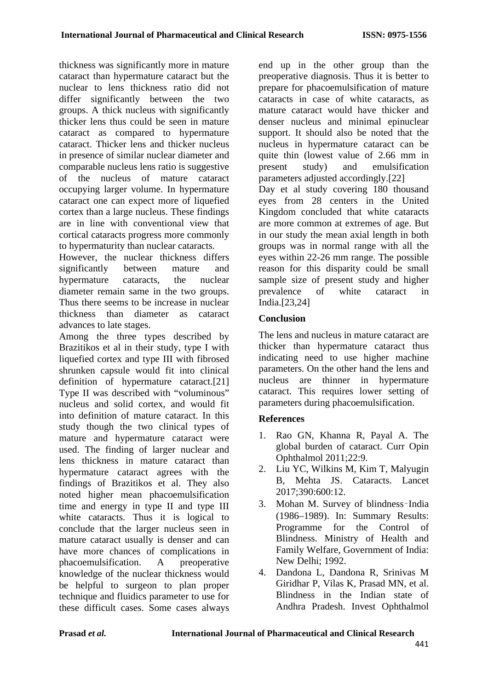thickness was significantly more in mature cataract than hypermature cataract but the nuclear to lens thickness ratio did not differ significantly between the two groups. A thick nucleus with significantly thicker lens thus could be seen in mature cataract as compared to hypermature cataract. Thicker lens and thicker nucleus in presence of similar nuclear diameter and comparable nucleus lens ratio is suggestive of the nucleus of mature cataract occupying larger volume. In hypermature cataract one can expect more of liquefied cortex than a large nucleus. These findings are in line with conventional view that cortical cataracts progress more commonly to hypermaturity than nuclear cataracts.

However, the nuclear thickness differs significantly between mature and hypermature cataracts, the nuclear diameter remain same in the two groups. Thus there seems to be increase in nuclear thickness than diameter as cataract advances to late stages.

Among the three types described by Brazitikos et al in their study, type I with liquefied cortex and type III with fibrosed shrunken capsule would fit into clinical definition of hypermature cataract.[21] Type II was described with "voluminous" nucleus and solid cortex, and would fit into definition of mature cataract. In this study though the two clinical types of mature and hypermature cataract were used. The finding of larger nuclear and lens thickness in mature cataract than hypermature cataract agrees with the findings of Brazitikos et al. They also noted higher mean phacoemulsification time and energy in type II and type III white cataracts. Thus it is logical to conclude that the larger nucleus seen in mature cataract usually is denser and can have more chances of complications in phacoemulsification. A preoperative knowledge of the nuclear thickness would be helpful to surgeon to plan proper technique and fluidics parameter to use for these difficult cases. Some cases always

end up in the other group than the preoperative diagnosis. Thus it is better to prepare for phacoemulsification of mature cataracts in case of white cataracts, as mature cataract would have thicker and denser nucleus and minimal epinuclear support. It should also be noted that the nucleus in hypermature cataract can be quite thin (lowest value of 2.66 mm in present study) and emulsification parameters adjusted accordingly.[22]

Day et al study covering 180 thousand eyes from 28 centers in the United Kingdom concluded that white cataracts are more common at extremes of age. But in our study the mean axial length in both groups was in normal range with all the eyes within 22-26 mm range. The possible reason for this disparity could be small sample size of present study and higher prevalence of white cataract in India.[23,24]

# **Conclusion**

The lens and nucleus in mature cataract are thicker than hypermature cataract thus indicating need to use higher machine parameters. On the other hand the lens and nucleus are thinner in hypermature cataract. This requires lower setting of parameters during phacoemulsification.

# **References**

- 1. Rao GN, Khanna R, Payal A. The global burden of cataract. Curr Opin Ophthalmol 2011;22:9.
- 2. Liu YC, Wilkins M, Kim T, Malyugin B, Mehta JS. Cataracts. Lancet 2017;390:600:12.
- 3. Mohan M. Survey of blindness‑India (1986–1989). In: Summary Results: Programme for the Control of Blindness. Ministry of Health and Family Welfare, Government of India: New Delhi; 1992.
- 4. Dandona L, Dandona R, Srinivas M Giridhar P, Vilas K, Prasad MN, et al. Blindness in the Indian state of Andhra Pradesh. Invest Ophthalmol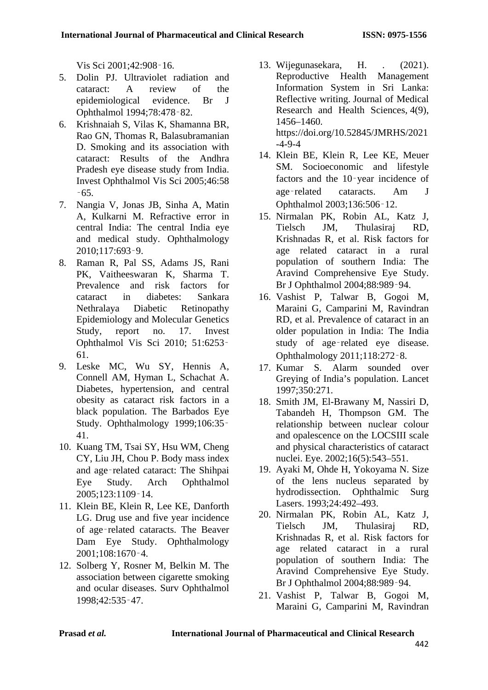Vis Sci 2001;42:908‑16.

- 5. Dolin PJ. Ultraviolet radiation and cataract: A review of the epidemiological evidence. Br J Ophthalmol 1994;78:478‑82.
- 6. Krishnaiah S, Vilas K, Shamanna BR, Rao GN, Thomas R, Balasubramanian D. Smoking and its association with cataract: Results of the Andhra Pradesh eye disease study from India. Invest Ophthalmol Vis Sci 2005;46:58  $-65.$
- 7. Nangia V, Jonas JB, Sinha A, Matin A, Kulkarni M. Refractive error in central India: The central India eye and medical study. Ophthalmology 2010;117:693‑9.
- 8. Raman R, Pal SS, Adams JS, Rani PK, Vaitheeswaran K, Sharma T. Prevalence and risk factors for cataract in diabetes: Sankara Nethralaya Diabetic Retinopathy Epidemiology and Molecular Genetics Study, report no. 17. Invest Ophthalmol Vis Sci 2010; 51:6253‑ 61.
- 9. Leske MC, Wu SY, Hennis A, Connell AM, Hyman L, Schachat A. Diabetes, hypertension, and central obesity as cataract risk factors in a black population. The Barbados Eye Study. Ophthalmology 1999:106:35-41.
- 10. Kuang TM, Tsai SY, Hsu WM, Cheng CY, Liu JH, Chou P. Body mass index and age‑related cataract: The Shihpai Eye Study. Arch Ophthalmol 2005;123:1109‑14.
- 11. Klein BE, Klein R, Lee KE, Danforth LG. Drug use and five year incidence of age‑related cataracts. The Beaver Dam Eye Study. Ophthalmology 2001;108:1670‑4.
- 12. Solberg Y, Rosner M, Belkin M. The association between cigarette smoking and ocular diseases. Surv Ophthalmol 1998;42:535‑47.
- 13. Wijegunasekara, H. . (2021). Reproductive Health Management Information System in Sri Lanka: Reflective writing. Journal of Medical Research and Health Sciences, 4(9), 1456–1460. https://doi.org/10.52845/JMRHS/2021 -4-9-4
- 14. Klein BE, Klein R, Lee KE, Meuer SM. Socioeconomic and lifestyle factors and the 10‑year incidence of age‑related cataracts. Am J Ophthalmol 2003;136:506‑12.
- 15. Nirmalan PK, Robin AL, Katz J, Tielsch JM, Thulasiraj RD, Krishnadas R, et al. Risk factors for age related cataract in a rural population of southern India: The Aravind Comprehensive Eye Study. Br J Ophthalmol 2004;88:989‑94.
- 16. Vashist P, Talwar B, Gogoi M, Maraini G, Camparini M, Ravindran RD, et al. Prevalence of cataract in an older population in India: The India study of age‑related eye disease. Ophthalmology 2011;118:272‑8.
- 17. Kumar S. Alarm sounded over Greying of India's population. Lancet 1997;350:271.
- 18. Smith JM, El-Brawany M, Nassiri D, Tabandeh H, Thompson GM. The relationship between nuclear colour and opalescence on the LOCSIII scale and physical characteristics of cataract nuclei. Eye. 2002;16(5):543–551.
- 19. Ayaki M, Ohde H, Yokoyama N. Size of the lens nucleus separated by hydrodissection. Ophthalmic Surg Lasers. 1993;24:492–493.
- 20. Nirmalan PK, Robin AL, Katz J, Tielsch JM, Thulasiraj RD, Krishnadas R, et al. Risk factors for age related cataract in a rural population of southern India: The Aravind Comprehensive Eye Study. Br J Ophthalmol 2004;88:989‑94.
- 21. Vashist P, Talwar B, Gogoi M, Maraini G, Camparini M, Ravindran